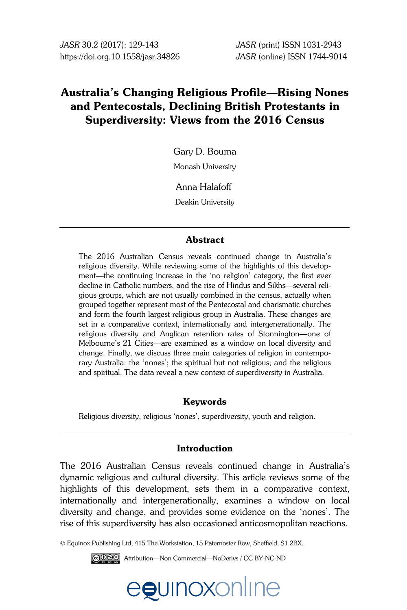# **Australia's Changing Religious Profile—Rising Nones and Pentecostals, Declining British Protestants in Superdiversity: Views from the 2016 Census**

Gary D. Bouma

Monash University

Anna Halafoff

Deakin University

## **Abstract**

The 2016 Australian Census reveals continued change in Australia's religious diversity. While reviewing some of the highlights of this development—the continuing increase in the 'no religion' category, the first ever decline in Catholic numbers, and the rise of Hindus and Sikhs—several religious groups, which are not usually combined in the census, actually when grouped together represent most of the Pentecostal and charismatic churches and form the fourth largest religious group in Australia. These changes are set in a comparative context, internationally and intergenerationally. The religious diversity and Anglican retention rates of Stonnington—one of Melbourne's 21 Cities—are examined as a window on local diversity and change. Finally, we discuss three main categories of religion in contemporary Australia: the 'nones'; the spiritual but not religious; and the religious and spiritual. The data reveal a new context of superdiversity in Australia.

## **Keywords**

Religious diversity, religious 'nones', superdiversity, youth and religion.

## **Introduction**

The 2016 Australian Census reveals continued change in Australia's dynamic religious and cultural diversity. This article reviews some of the highlights of this development, sets them in a comparative context, internationally and intergenerationally, examines a window on local diversity and change, and provides some evidence on the 'nones'. The rise of this superdiversity has also occasioned anticosmopolitan reactions.

© Equinox Publishing Ltd, 415 The Workstation, 15 Paternoster Row, Sheffield, S1 2BX.

Attribution—Non Commercial—NoDerivs / CC BY-NC-ND

egunoxonline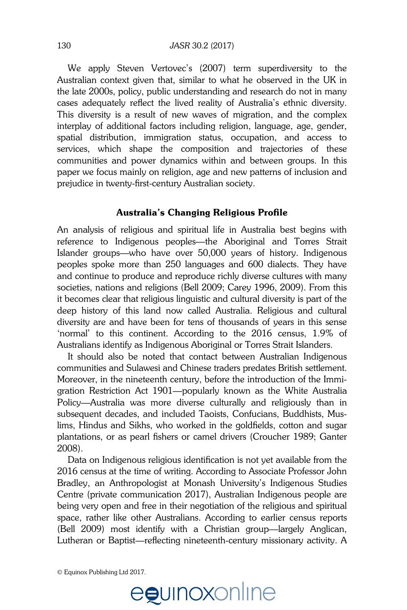We apply Steven Vertovec's (2007) term superdiversity to the Australian context given that, similar to what he observed in the UK in the late 2000s, policy, public understanding and research do not in many cases adequately reflect the lived reality of Australia's ethnic diversity.<br>The studies of the studies of the studies of the studies of the studies of the studies of the studies of the studies This diversity is a result of new waves of migration, and the complex interplay of additional factors including religion, language, age, gender, interplay of additional factors including religion, language, age, gender, spatial distribution, immigration status, occupation, and access to services, which shape the composition and trajectories of these communities and power dynamics within and between groups. In this paper we focus mainly on religion, age and new patterns of inclusion and prejudice in twenty-first-century Australian society. **Initial submissions**  Submission of articles to *Sociolinguistic Studies* should normally be done via the

#### Australia's Changing Religious Profile  $\mathcal{L}$  who are unable to use this website for one submission showled contact the submission showled contact the submission showled contact the submission showled contact the submission showled contact the submission sho

An analysis of religious and spiritual life in Australia best begins with reference to Indigenous peoples—the Aboriginal and Torres Strait Islander groups—who have over 50,000 years of history. Indigenous peoples spoke more than 250 languages and 600 dialects. They have peoples spoke more than 250 languages and 600 dialects. They have and continue to produce and reproduce richly diverse cultures with many societies, nations and religions (Bell 2009; Carey 1996, 2009). From this it becomes clear that religious linguistic and cultural diversity is part of the deep history of this land now called Australia. Religious and cultural diversity are and have been for tens of thousands of years in this sense "The submit of the continent. According to the 2016 census, 1.9% of Australians identify as Indigenous Aboriginal or Torres Strait Islanders. **Review process** opies spoke more man 200 languages and 000 dialects. They have

It should also be noted that contact between Australian Indigenous communities and Sulawesi and Chinese traders predates British settlement. Moreover, in the nineteenth century, before the introduction of the Immigration Restriction Act 1901—popularly known as the White Australia s<br>Policy—Australia was more diverse culturally and religiously than in rolley Trashalla was more alverse ealtering and religiously than in lims, Hindus and Sikhs, who worked in the goldfields, cotton and sugar plantations, or as pearl fishers or camel drivers (Croucher 1989; Ganter 2008). bsequent decades, and included Taoisis, Confucians, Buddinsis, Mus

Data on Indigenous religious identification is not yet available from the 2016 census at the time of writing. According to Associate Professor John Boro census at the time of whiting. I recording to resociate I refessor comm<br>Bradley, an Anthropologist at Monash University's Indigenous Studies Centre (private communication 2017), Australian Indigenous people are being very open and free in their negotiation of the religious and spiritual space, rather like other Australians. According to earlier census reports (Bell 2009) most identify with a Christian group-largely Anglican, Lutheran or Baptist—reflecting nineteenth-century missionary activity. A  $f$ adiey, an Antinopologist at monastic only ets. plugelous studies  $f$ statements.

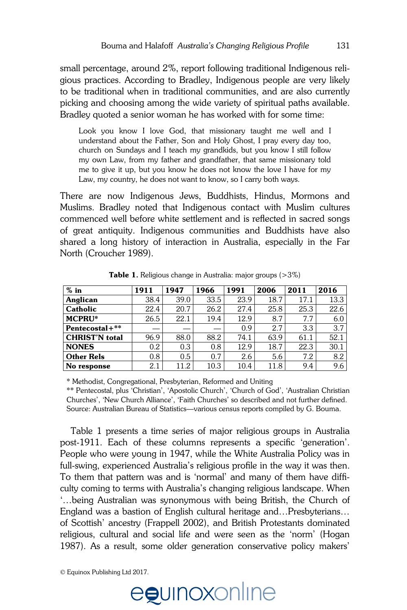small percentage, around 2%, report following traditional Indigenous religious practices. According to Bradley, Indigenous people are very likely to be traditional when in traditional communities, and are also currently picking and choosing among the wide variety of spiritual paths available. Bradley quoted a senior woman he has worked with for some time:<br>**Bradley** 

Look you know I love God, that missionary taught me well and I understand about the Father, Son and Holy Ghost, I pray every day too, church on Sundays and I teach my grandkids, but you know I still follow my own Law, from my father and grandfather, that same missionary told me to give it up, but you know he does not know the love I have for my Law, my country, he does not want to know, so I carry both ways.

There are now Indigenous Jews, Buddhists, Hindus, Mormons and Muslims. Bradley noted that Indigenous contact with Muslim cultures commenced well before white settlement and is reflected in sacred songs of great antiquity. Indigenous communities and Buddhists have also shared a long history of interaction in Australia, especially in the Far North (Croucher 1989).  $\mu$ iere are now mungenous dews, Duddinisis, Finidus, Monnons and  $\frac{1}{2}$ 

| $%$ in                | 1911 | 1947 | 1966 | 1991 | 2006 | 2011 | 2016 |
|-----------------------|------|------|------|------|------|------|------|
| Anglican              | 38.4 | 39.0 | 33.5 | 23.9 | 18.7 | 17.1 | 13.3 |
| <b>Catholic</b>       | 22.4 | 20.7 | 26.2 | 27.4 | 25.8 | 25.3 | 22.6 |
| <b>MCPRU*</b>         | 26.5 | 22.1 | 19.4 | 12.9 | 8.7  | 7.7  | 6.0  |
| Pentecostal+**        |      |      | --   | 0.9  | 2.7  | 3.3  | 3.7  |
| <b>CHRIST'N</b> total | 96.9 | 88.0 | 88.2 | 74.1 | 63.9 | 61.1 | 52.1 |
| <b>NONES</b>          | 0.2  | 0.3  | 0.8  | 12.9 | 18.7 | 22.3 | 30.1 |
| <b>Other Rels</b>     | 0.8  | 0.5  | 0.7  | 2.6  | 5.6  | 7.2  | 8.2  |
| No response           | 2.1  | 11.2 | 10.3 | 10.4 | 11.8 | 9.4  | 9.6  |

**Table 1.** Religious change in Australia: major groups (>3%) **ance 1.** Neiglous change in Australia. Alajor groups  $(20\%)$ 

\* Methodist, Congregational, Presbyterian, Reformed and Uniting

\*\* Pentecostal, plus 'Christian', 'Apostolic Church', 'Church of God', 'Australian Christian Churches', 'New Church Alliance', 'Faith Churches' so described and not further defined. Source: Australian Bureau of Statistics—various census reports compiled by G. Bouma.

Table 1 presents a time series of major religious groups in Australia post-1911. Each of these columns represents a specific 'generation'. People who were young in 1947, while the White Australia Policy was in full-swing, experienced Australia's religious profile in the way it was then. To them that pattern was and is 'normal' and many of them have difficulty coming to terms with Australia's changing religious landscape. When ...being Australian was synonymous with being British, the Church of research participants was experimented and the started and measurement of England was a bastion of English cultural heritage and...Presbyterians... England was a bashon of English edition nemage and.... resoytendis...<br>of Scottish' ancestry (Frappell 2002), and British Protestants dominated religious, cultural and social life and were seen as the 'norm' (Hogan 1987). As a result, some older generation conservative policy makers'  $\alpha$  scottish ancestry (Frappeli 2002), and british Protestants dominate

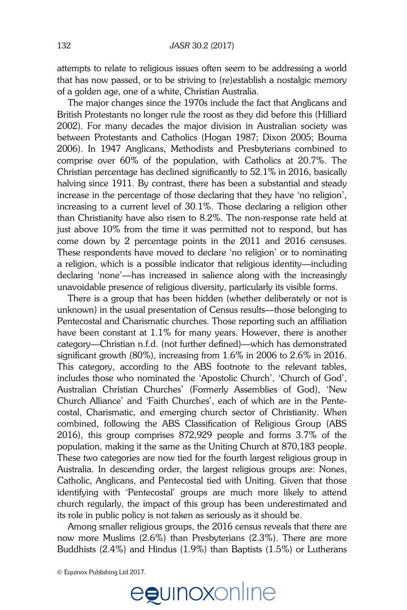attempts to relate to religious issues often seem to be addressing a world that has now passed, or to be striving to (re)establish a nostalgic memory of a golden age, one of a white, Christian Australia.

The major changes since the 1970s include the fact that Anglicans and *Studies* British Protestants no longer rule the roost as they did before this (Hilliard 2002). For many decades the major division in Australian society was **Guidelines for submission**  between Protestants and Catholics (Hogan 1987; Dixon 2005; Bouma 2006). In 1947 Anglicans, Methodists and Presbyterians combined to comprise over 60% of the population, with Catholics at 20.7%. The Christian percentage has declined significantly to 52.1% in 2016, basically halving since 1911. By contrast, there has been a substantial and steady **Initial submissions**  increase in the percentage of those declaring that they have 'no religion', increase in the percentage of those declaring that they have no religion, than Christianity have also risen to 8.2%. The non-response rate held at just above 10% from the time it was permitted not to respond, but has come down by 2 percentage points in the 2011 and 2016 censuses. These respondents have moved to declare 'no religion' or to nominating references. The counterment is a possible indicator that religious identity—including a religion, which is a possible indicator that religious identity—including declaring 'none'—has increased in salience along with the increasingly unavoidable presence of religious diversity, particularly its visible forms.  $\alpha$  as an author, and  $\alpha$  is the instruction of  $\alpha$  in submission. The instruction of  $\alpha$ Authors should be a submission of the submissions, when  $\frac{1}{2}$  revised versions, and revised versions, and  $\frac{1}{2}$  revised versions, and  $\frac{1}{2}$  revised versions, and  $\frac{1}{2}$  revised versions, and  $\frac{1}{2}$  revise

There is a group that has been hidden (whether deliberately or not is unknown) in the usual presentation of Census results—those belonging to Pentecostal and Charismatic churches. Those reporting such an affiliation have been constant at  $1.1\%$  for many years. However, there is another category—Christian n.f.d. (not further defined)—which has demonstrated **Review process** significant growth (80%), increasing from  $1.6\%$  in 2006 to 2.6% in 2016. This category, according to the ABS footnote to the relevant tables, includes those who nominated the 'Apostolic Church', 'Church of God', Australian Christian Churches' (Formerly Assemblies of God), 'New Church Alliance' and 'Faith Churches', each of which are in the Pentecostal, Charismatic, and emerging church sector of Christianity. When combined, following the ABS Classification of Religious Group (ABS 2016), this group comprises  $872,929$  people and forms  $3.7\%$  of the population, making it the same as the Uniting Church at 870,183 people. These two categories are now tied for the fourth largest religious group in Australia. In descending order, the largest religious groups are: Nones, Catholic, Anglicans, and Pentecostal tied with Uniting. Given that those buttinum is tables, the contact the authors with example the authors in the authors in the authors in the authors before in the authors before in the authors before submitting with 'Pentecostal' groups are much more likely church regularly, the impact of this group has been underestimated and its role in public policy is not taken as seriously as it should be. for contributors and conceptly charge of contributing. We  $t$  final value to see the final version to the included  $\frac{u}{v}$  with  $\frac{u}{v}$  respectively.

Among smaller religious groups, the 2016 census reveals that there are now more Muslims  $(2.6\%)$  than Presbyterians  $(2.3\%)$ . There are more Buddhists  $(2.4\%)$  and Hindus  $(1.9\%)$  than Baptists  $(1.5\%)$  or Lutherans

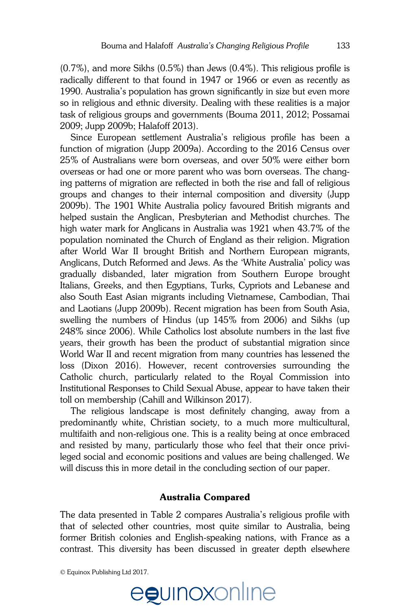(0.7%), and more Sikhs (0.5%) than Jews (0.4%). This religious profile is radically different to that found in 1947 or 1966 or even as recently as 1990. Australia's population has grown significantly in size but even more so in religious and ethnic diversity. Dealing with these realities is a major solution of the studies of the studies of the studies of the studies of the studies of the studies of the studies of the studies of the studies task of religious groups and governments (Bouma 2011, 2012; Possamai )<br>2000. Junn 2000b: Halafoff 2013) 2009; Jupp 2009b; Halafoff 2013).

Since European settlement Australia's religious profile has been a function of migration (Jupp 2009a). According to the 2016 Census over  $25\%$  of Australians were born overseas, and over  $50\%$  were either born overseas or had one or more parent who was born overseas. The changing patterns of migration are reflected in both the rise and fall of religious groups and changes to their internal composition and diversity (Jupp 2009b). The 1901 White Australia policy favoured British migrants and  $\overline{a}$ helped sustain the Anglican, Presbyterian and Methodist churches. The high water mark for Anglicans in Australia was 1921 when 43.7% of the population nominated the Church of England as their religion. Migration after World War II brought British and Northern European migrants, Anglicans, Dutch Reformed and Jews. As the 'White Australia' policy was miground, Buth Holdman and Sond Holdman Holdman poncy was<br>gradually disbanded, later migration from Southern Europe brought Italians, Greeks, and then Egyptians, Turks, Cypriots and Lebanese and also South East Asian migrants including Vietnamese, Cambodian, Thai and Laotians (Jupp 2009b). Recent migration has been from South Asia, swelling the numbers of Hindus (up 145% from 2006) and Sikhs (up 248% since 2006). While Catholics lost absolute numbers in the last five years, their growth has been the product of substantial migration since World War II and recent migration from many countries has lessened the **Review process** loss (Dixon 2016). However, recent controversies surrounding the Catholic church, particularly related to the Royal Commission into Institutional Responses to Child Sexual Abuse, appear to have taken their toll on membership (Cahill and Wilkinson 2017). journal ordinal composition and diversity (out and to facilitate the facilitation with counterful adopted blocks If you wall it and recent implation from many countries has resseried to public Studies  $\frac{1}{2}$ 

The religious landscape is most definitely changing, away from a predominantly white, Christian society, to a much more multicultural, multifaith and non-religious one. This is a reality being at once embraced and resisted by many, particularly those who feel that their once privileged social and economic positions and values are being challenged. We will discuss this in more detail in the concluding section of our paper. community wine, children society, to a much more municulated

## **Australia Compared**

The data presented in Table 2 compares Australia's religious profile with that of selected other countries, most quite similar to Australia, being former British colonies and English-speaking nations, with France as a contrast. This diversity has been discussed in greater depth elsewhere he data presented in Iable 2 compares Australia´s religious profile wi

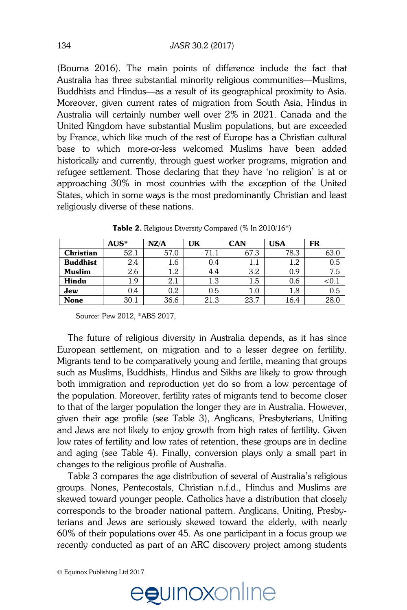(Bouma 2016). The main points of difference include the fact that Australia has three substantial minority religious communities—Muslims, Buddhists and Hindus—as a result of its geographical proximity to Asia. Moreover, given current rates of migration from South Asia, Hindus in *Sociolinguistic Studies*  Australia will certainly number well over 2% in 2021. Canada and the Australia will certainly number well over 2% in 2021. Canada and the<br>United Kingdom have substantial Muslim populations, but are exceeded by France, which like much of the rest of Europe has a Christian cultural base to which more-or-less welcomed Muslims have been added historically and currently, through guest worker programs, migration and refugee settlement. Those declaring that they have 'no religion' is at or approaching 30% in most countries with the exception of the United States, which in some ways is the most predominantly Christian and least religiously diverse of these nations. ates, which in some ways is the most predominality Christian and lea.

|                 | $AUS^*$ | NZ/A | UK   | <b>CAN</b> | <b>USA</b> | FR           |
|-----------------|---------|------|------|------------|------------|--------------|
| Christian       | 52.1    | 57.0 | 71.1 | 67.3       | 78.3       | 63.0         |
| <b>Buddhist</b> | 2.4     | 1.6  | 0.4  |            | $1.2\,$    | 0.5          |
| <b>Muslim</b>   | 2.6     | 1.2  | 4.4  | 3.2        | 0.9        | 7.5          |
| Hindu           | 1.9     | 2.1  | 1.3  | 1.5        | 0.6        | $<$ 0.1 $\,$ |
| Jew             | 0.4     | 0.2  | 0.5  | 1.0        | 1.8        | 0.5          |
| <b>None</b>     | 30.1    | 36.6 | 21.3 | 23.7       | 16.4       | 28.0         |

**Table 2.** Religious Diversity Compared ( $%$  In 2010/16 $*$ )

Source: Pew 2012, \*ABS 2017,

 The future of religious diversity in Australia depends, as it has since European settlement, on migration and to a lesser degree on fertility. Migrants tend to be comparatively young and fertile, meaning that groups such as Muslims, Buddhists, Hindus and Sikhs are likely to grow through such as mashins, Badanists, militatis and similis are many to grow incough<br>both immigration and reproduction yet do so from a low percentage of the population. Moreover, fertility rates of migrants tend to become closer to that of the larger population the longer they are in Australia. However, given their age profile (see Table 3), Anglicans, Presbyterians, Uniting and Jews are not likely to enjoy growth from high rates of fertility. Given low rates of fertility and low rates of retention, these groups are in decline and aging (see Table 4). Finally, conversion plays only a small part in changes to the religious profile of Australia. any immigration and reproduction yet do so from

Table 3 compares the age distribution of several of Australia's religious groups. Nones, Pentecostals, Christian n.f.d., Hindus and Muslims are skewed toward younger people. Catholics have a distribution that closely corresponds to the broader national pattern. Anglicans, Uniting, Presbyterians and Jews are seriously skewed toward the elderly, with nearly terians and Jews are seriously skewed toward the elderly, with nearly  $60\%$  of their populations over  $45.$  As one participant in a focus group we recently conducted as part of an ARC discovery project among students rails and bews are seriously shewed toward the elderly, with the the

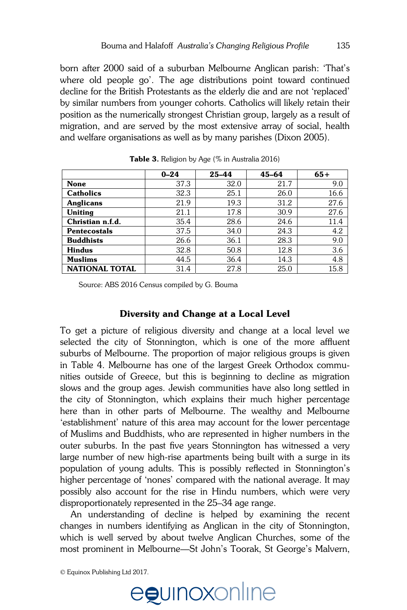born after 2000 said of a suburban Melbourne Anglican parish: 'That's where old people go'. The age distributions point toward continued decline for the British Protestants as the elderly die and are not 'replaced' by similar numbers from younger cohorts. Catholics will likely retain their *Sociolinguistic Studies*  position as the numerically strongest Christian group, largely as a result of position as the numencally strongest Christian group, largely as a result of<br>migration, and are served by the most extensive array of social, health and welfare organisations as well as by many parishes (Dixon 2005).

|                       | $0 - 24$ | $25 - 44$ | 45-64 | $65+$ |
|-----------------------|----------|-----------|-------|-------|
| <b>None</b>           | 37.3     | 32.0      | 21.7  | 9.0   |
| <b>Catholics</b>      | 32.3     | 25.1      | 26.0  | 16.6  |
| <b>Anglicans</b>      | 21.9     | 19.3      | 31.2  | 27.6  |
| Uniting               | 21.1     | 17.8      | 30.9  | 27.6  |
| Christian n.f.d.      | 35.4     | 28.6      | 24.6  | 11.4  |
| <b>Pentecostals</b>   | 37.5     | 34.0      | 24.3  | 4.2   |
| <b>Buddhists</b>      | 26.6     | 36.1      | 28.3  | 9.0   |
| <b>Hindus</b>         | 32.8     | 50.8      | 12.8  | 3.6   |
| <b>Muslims</b>        | 44.5     | 36.4      | 14.3  | 4.8   |
| <b>NATIONAL TOTAL</b> | 31.4     | 27.8      | 25.0  | 15.8  |

**Table 3.** Religion by Age (% in Australia 2016)

Source: ABS 2016 Census compiled by G. Bouma Source. ADS 2010 Census complied by O. Dou

#### **Diversity and Change at a Local Level** processity and change at a Local Level

To get a picture of religious diversity and change at a local level we selected the city of Stonnington, which is one of the more affluent suburbs of Melbourne. The proportion of major religious groups is given in Table 4. Melbourne has one of the largest Greek Orthodox communities outside of Greece, but this is beginning to decline as migration slows and the group ages. Jewish communities have also long settled in the city of Stonnington, which explains their much higher percentage here than in other parts of Melbourne. The wealthy and Melbourne The mature of this area may account for the lower percentage 'establishment' nature of this area may account for the lower percentage of Muslims and Buddhists, who are represented in higher numbers in the outer suburbs. In the past five years Stonnington has witnessed a very large number of new high-rise apartments being built with a surge in its population of young adults. This is possibly reflected in Stonnington's migher percentage of 'nones' compared with the national average. It may possibly also account for the rise in Hindu numbers, which were very disproportionately represented in the 25–34 age range. If you be the publication of the publication in *Sociolinguistic Studies*, your publication in *Sociolinguistic Studies*, which is studies on the sociolinguistic Studies, you have studies in *Sociolinguistic Studies*, whic special transmitting tables the guidelines of the guidelines on preparing and submitting and submitting and submitting and submitting and submitting and submitting and submitting and submitting and submitting and submittin  $t_{\text{total}}$  and account for the nse in Final numbers, which were very

An understanding of decline is helped by examining the recent changes in numbers identifying as Anglican in the city of Stonnington, which is well served by about twelve Anglican Churches, some of the most prominent in Melbourne—St John's Toorak, St George's Malvern,

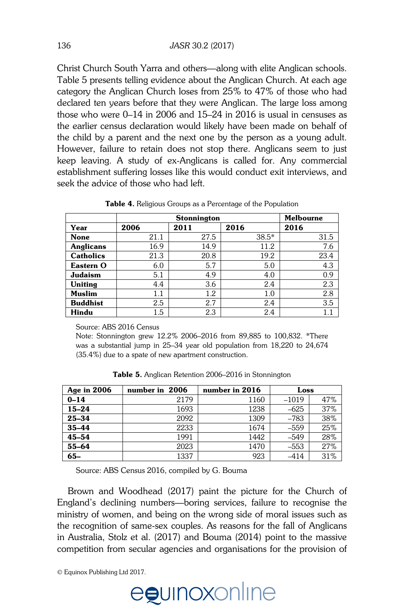Christ Church South Yarra and others—along with elite Anglican schools. Table 5 presents telling evidence about the Anglican Church. At each age category the Anglican Church loses from 25% to 47% of those who had declared ten years before that they were Anglican. The large loss among *Sociolinguistic Studies*  those who were 0–14 in 2006 and 15–24 in 2016 is usual in censuses as mose who were 0–14 in 2006 and 15–24 in 2016 is usual in censuses as<br>the earlier census declaration would likely have been made on behalf of the child by a parent and the next one by the person as a young adult. However, failure to retain does not stop there. Anglicans seem to just keep leaving. A study of ex-Anglicans is called for. Any commercial establishment suffering losses like this would conduct exit interviews, and seek the advice of those who had left. **Initial submissions** 

|                  | <b>Stonnington</b> |      |         | <b>Melbourne</b> |  |
|------------------|--------------------|------|---------|------------------|--|
| Year             | 2006               | 2011 | 2016    | 2016             |  |
| <b>None</b>      | 21.1               | 27.5 | $38.5*$ | 31.5             |  |
| <b>Anglicans</b> | 16.9               | 14.9 | 11.2    | 7.6              |  |
| <b>Catholics</b> | 21.3               | 20.8 | 19.2    | 23.4             |  |
| Eastern O        | 6.0                | 5.7  | 5.0     | 4.3              |  |
| Judaism          | 5.1                | 4.9  | 4.0     | 0.9              |  |
| Uniting          | 4.4                | 3.6  | 2.4     | 2.3              |  |
| <b>Muslim</b>    | 1.1                | 1.2  | 1.0     | 2.8              |  |
| <b>Buddhist</b>  | 2.5                | 2.7  | 2.4     | 3.5              |  |
| Hindu            | $1.5\,$            | 2.3  | 2.4     | 1.1              |  |

**Table 4.** Religious Groups as a Percentage of the Population

Note: Stonnington grew 12.2% 2006–2016 from 89,885 to 100,832. \*There was a substantial jump in 25–34 year old population from 18,220 to 24,674 (35.4%) due to a spate of new apartment construction.

| Age in 2006                                   | number in 2006 | number in 2016 | Loss    |     |
|-----------------------------------------------|----------------|----------------|---------|-----|
| $0 - 14$                                      | 2179           | 1160           | $-1019$ | 47% |
| $15 - 24$                                     | 1693           | 1238           | $-625$  | 37% |
| 25-34                                         | 2092           | 1309           | $-783$  | 38% |
| $35 - 44$                                     | 2233           | 1674           | $-559$  | 25% |
| $45 - 54$                                     | 1991           | 1442           | $-549$  | 28% |
| 55-64                                         | 2023           | 1470           | $-553$  | 27% |
| $65 -$                                        | 1337           | 923            | $-414$  | 31% |
| Source: ABS Census 2016, compiled by G. Bouma |                |                |         |     |

**Table 5.** Anglican Retention 2006–2016 in Stonnington **Lable 5.** Anglican Retention 2006–2016 in Stonnington

any part of another work. If you are contains from other works, especially from other works, especially from other works, especially from other works, especially from other works, especially from other works, especially f

Brown and Woodhead (2017) paint the picture for the Church of England's declining numbers—boring services, failure to recognise the final version to the state in the state is to be indicated. ministry of women, and being on the wrong side of moral issues such as the recognition of same-sex couples. As reasons for the fall of Anglicans in Australia, Stolz et al. (2017) and Bouma (2014) point to the massive competition from secular agencies and organisations for the provision of regiant studenting numbers of connig services,

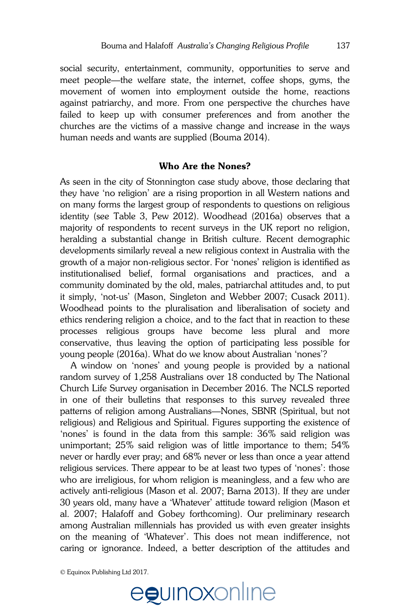social security, entertainment, community, opportunities to serve and meet people—the welfare state, the internet, coffee shops, gyms, the movement of women into employment outside the home, reactions against patriarchy, and more. From one perspective the churches have *Sociolinguistic Studies*  failed to keep up with consumer preferences and from another the railed to keep up with consumer preferences and from another the<br>churches are the victims of a massive change and increase in the ways human needs and wants are supplied (Bouma 2014).

# Who Are the Nones?

As seen in the city of Stonnington case study above, those declaring that they have 'no religion' are a rising proportion in all Western nations and many times the largest case of respondents to questions on religious on many forms the largest group of respondents to questions on religious on many forms are largest group of respondents to questions on religious identity (see Table 3, Pew 2012). Woodhead (2016a) observes that a majority of respondents to recent surveys in the UK report no religion, heralding a substantial change in British culture. Recent demographic developments similarly reveal a new religious context in Australia with the growth of a major non-religious sector. For 'nones' religion is identified as and consured vertice, submissions and practices, and a unstitutionalised belief, formal organisations and practices, and a montationalised belief, formal organisations and praefices, and a<br>community dominated by the old, males, patriarchal attitudes and, to put it simply, 'not-us' (Mason, Singleton and Webber 2007; Cusack 2011). Woodhead points to the pluralisation and liberalisation of society and ethics rendering religion a choice, and to the fact that in reaction to these processes religious groups have become less plural and more conservative, thus leaving the option of participating less possible for young people (2016a). What do we know about Australian 'nones'? **Review process**  $\mathbb{R}$ uthors who are use the vectors  $\mathbb{R}$  is the vector of  $\mathbb{R}$  and  $\mathbb{R}$  is the vector that  $\mu$ ,  $\mu$  and  $\mu$  and  $\mu$  and  $\mu$  and  $\mu$  and  $\mu$  and  $\mu$  and  $\mu$  are continuous. Julig people (2010a). What up we know about **Australian indies**, you

A window on 'nones' and young people is provided by a national random survey of 1,258 Australians over 18 conducted by The National Church Life Survey organisation in December 2016. The NCLS reported in one of their bulletins that responses to this survey revealed three patterns of religion among Australians—Nones, SBNR (Spiritual, but not parterns or religion unlength the tunning the formula, our thermal contributors religious) and Religious and Spiritual. Figures supporting the existence of 'nones' is found in the data from this sample: 36% said religion was unimportant; 25% said religion was of little importance to them; 54% never or hardly ever pray; and 68% never or less than once a year attend religious services. There appear to be at least two types of 'nones': those who are irreligious, for whom religion is meaningless, and a few who are actively anti-religious (Mason et al. 2007; Barna 2013). If they are under actively and religious (mason of all 2007, Barna 2010). It lives are analy<br>30 years old, many have a 'Whatever' attitude toward religion (Mason et al. 2007; Halafoff and Gobey forthcoming). Our preliminary research among Australian millennials has provided us with even greater insights on the meaning of 'Whatever'. This does not mean indifference, not caring or ignorance. Indeed, a better description of the attitudes and complex tables tables tables pay submitting the submitting and submitting and submitting and submitting and submitting and submitting and submitting and submitting and submitting and submitting and submitting and submittin  $\sigma$  years old, many have a vinalever almude

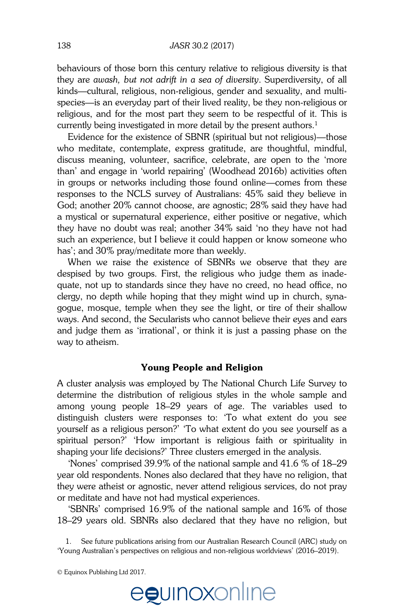behaviours of those born this century relative to religious diversity is that they are *awash, but not adrift in a sea of diversity*. Superdiversity, of all kinds—cultural, religious, non-religious, gender and sexuality, and multispecies—is an everyday part of their lived reality, be they non-religious or  $\frac{1}{2}$ religious, and for the most part they seem to be respectful of it. This is rengious, and for the most part they seem to be respective of it. This i<br>currently being investigated in more detail by the present authors.<sup>1</sup>

Evidence for the existence of SBNR (spiritual but not religious)—those who meditate, contemplate, express gratitude, are thoughtful, mindful, discuss meaning, volunteer, sacrifice, celebrate, are open to the 'more than' and engage in 'world repairing' (Woodhead 2016b) activities often in groups or networks including those found online—comes from these responses to the NCLS survey of Australians: 45% said they believe in  $\frac{1}{100}$  Cod; another 20% cannot choose, are agnostic; 28% said they have had a mystical or supernatural experience, either positive or negative, which they have no doubt was real; another 34% said 'no they have not had such an experience, but I believe it could happen or know someone who has'; and 30% pray/meditate more than weekly.  $\mu$ , another zo  $\omega$  cannot choose, are agriculty, zo  $\omega$  said they have ride

When we raise the existence of SBNRs we observe that they are despised by two groups. First, the religious who judge them as inadeacepised by two groups. That, the religious who judge them us made<br>quate, not up to standards since they have no creed, no head office, no clergy, no depth while hoping that they might wind up in church, synagogue, mosque, temple when they see the light, or tire of their shallow ways. And second, the Secularists who cannot believe their eyes and ears and judge them as 'irrational', or think it is just a passing phase on the way to atheism. **Review process** ale, not up to standards since they have

## **Young People and Religion**

.<br>A cluster analysis was employed by The National Church Life Survey to determine the distribution of religious styles in the whole sample and among young people 18–29 years of age. The variables used to distinguish clusters were responses to: 'To what extent do you see yourself as a religious person?' 'To what extent do you see yourself as a spiritual person?" 'How important is religious faith or spirituality in shaping your life decisions?' Three clusters emerged in the analysis. clusier analysis was employed by The Franchian C

Nones' comprised 39.9% of the national sample and 41.6 % of 18–29 year old respondents. Nones also declared that they have no religion, that they were atheist or agnostic, never attend religious services, do not pray or meditate and have not had mystical experiences. INOTES COMPISED  $39.9\%$  of the national sample and  $41.0\%$  of  $10-2$ 

'SBNRs' comprised 16.9% of the national sample and 16% of those 18–29 years old. SBNRs also declared that they have no religion, but a copyright and the continues to confirm the total that the confirm that the confirm that the confirm of

1. See future publications arising from our Australian Research Council (ARC) study on 'Young Australian's perspectives on religious and non-religious worldviews' (2016–2019). statements.

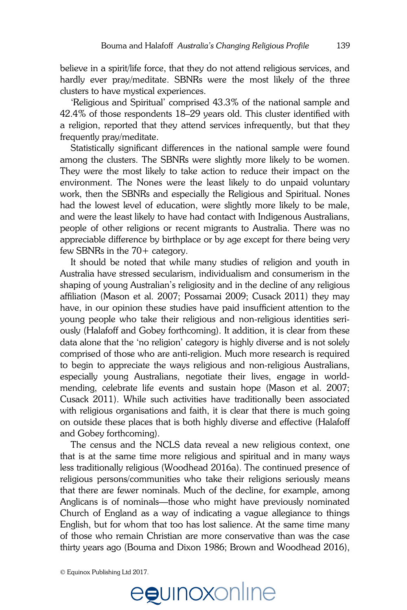believe in a spirit/life force, that they do not attend religious services, and hardly ever pray/meditate. SBNRs were the most likely of the three clusters to have mystical experiences.

 'Religious and Spiritual' comprised 43.3% of the national sample and *Sociolinguistic Studies*  42.4% of those respondents 18–29 years old. This cluster identified with 42.4% of those respondents 10–29 years old. This cluster identified with<br>a religion, reported that they attend services infrequently, but that they frequently pray/meditate.

Statistically significant differences in the national sample were found among the clusters. The SBNRs were slightly more likely to be women. They were the most likely to take action to reduce their impact on the environment. The Nones were the least likely to do unpaid voluntary work, then the SBNRs and especially the Religious and Spiritual. Nones work, then the obtains and especially the risingleds and opinidal. Tones and were the least likely to have had contact with Indigenous Australians, people of other religions or recent migrants to Australia. There was no appreciable difference by birthplace or by age except for there being very few SBNRs in the  $70+$  category. we are towest level of equivation, were signly frole linely to be fried.

It should be noted that while many studies of religion and youth in Australia have stressed secularism, individualism and consumerism in the rtashama have shessed seemanshi, marviadamshi and consumerishi in the<br>shaping of young Australian's religiosity and in the decline of any religious affiliation (Mason et al. 2007; Possamai 2009; Cusack 2011) they may have, in our opinion these studies have paid insufficient attention to the young people who take their religious and non-religious identities seriously (Halafoff and Gobey forthcoming). It addition, it is clear from these data alone that the 'no religion' category is highly diverse and is not solely comprised of those who are anti-religion. Much more research is required to begin to appreciate the ways religious and non-religious Australians, especially young Australians, negotiate their lives, engage in worldmending, celebrate life events and sustain hope (Mason et al. 2007; Cusack 2011). While such activities have traditionally been associated with religious organisations and faith, it is clear that there is much going on outside these places that is both highly diverse and effective (Halafoff and Gobey forthcoming). iaping or young Australian s religiosity and If you can be written in the publication in the publication in the publication in the publication in the publication in the publication in the publication in the publication in the publication in the publication in the pub complex tables, please that is boun inging and so that encouraging and submit the guidelines of prediction of  $\frac{1}{2}$ 

 The census and the NCLS data reveal a new religious context, one that is at the same time more religious and spiritual and in many ways less traditionally religious (Woodhead 2016a). The continued presence of religious persons/communities who take their religions seriously means that there are fewer nominals. Much of the decline, for example, among that there are fourth from them of the final version, for enample, among Anglicans is of nominals—those who might have previously nominated Church of England as a way of indicating a vague allegiance to things English, but for whom that too has lost salience. At the same time many of those who remain Christian are more conservative than was the case thirty years ago (Bouma and Dixon 1986; Brown and Woodhead 2016), regions is or nominal those who might have

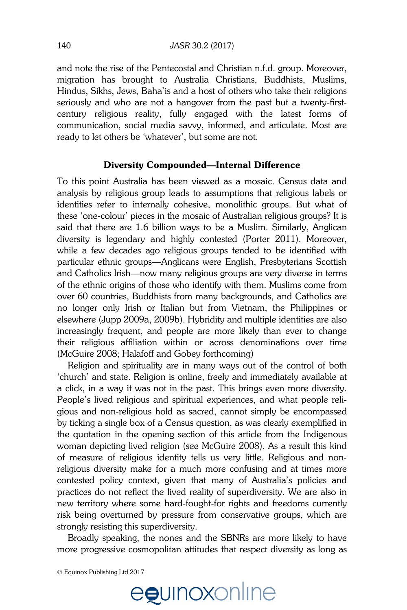and note the rise of the Pentecostal and Christian n.f.d. group. Moreover, migration has brought to Australia Christians, Buddhists, Muslims, Hindus, Sikhs, Jews, Baha'is and a host of others who take their religions seriously and who are not a hangover from the past but a twenty-first-*Sociolinguistic Studies*  century religious reality, fully engaged with the latest forms of communication, social media savvy, informed, and articulate. Most are **Guidelines for submission**  ready to let others be 'whatever', but some are not.

# Diversity Compounded—Internal Difference

To this point Australia has been viewed as a mosaic. Census data and analysis by religious group leads to assumptions that religious labels or identities refer to internally cohesive, monolithic groups. But what of religious of the methody conclude, monomine groups. But what or these 'one-colour' pieces in the mosaic of Australian religious groups? It is said that there are 1.6 billion ways to be a Muslim. Similarly, Anglican diversity is legendary and highly contested (Porter 2011). Moreover, while a few decades ago religious groups tended to be identified with particular ethnic groups—Anglicans were English, Presbyterians Scottish .<br>and Catholics Irish—now many religious groups are very diverse in terms and batholics then them many religiods groups are very arrested in terms of the ethnic origins of those who identify with them. Muslims come from over 60 countries, Buddhists from many backgrounds, and Catholics are no longer only Irish or Italian but from Vietnam, the Philippines or elsewhere (Jupp 2009a, 2009b). Hybridity and multiple identities are also increasingly frequent, and people are more likely than ever to change their religious affiliation within or across denominations over time men rengions diminately while the detector and **McGuire 2008**; Halafoff and Gobey forthcoming)  $\epsilon$  one-colour pieces in the mosaic or Australian religious groups: it also conduced appear on the covering the country of the covering  $\alpha$ If your submission is clearly understanding to public submission in *Sociolinguistic Studies*, you are studies, you

Religion and spirituality are in many ways out of the control of both 'church' and state. Religion is online, freely and immediately available at a click, in a way it was not in the past. This brings even more diversity. People's lived religious and spiritual experiences, and what people religious and non-religious hold as sacred, cannot simply be encompassed grow are non-rengious note as sacrow, cannot empty be encompassed<br>by ticking a single box of a Census question, as was clearly exemplified in the quotation in the opening section of this article from the Indigenous woman depicting lived religion (see McGuire 2008). As a result this kind of measure of religious identity tells us very little. Religious and nonreligious diversity make for a much more confusing and at times more contested policy context, given that many of Australia's policies and practices do not reflect the lived reality of superdiversity. We are also in new territory where some hard-fought-for rights and freedoms currently risk being overturned by pressure from conservative groups, which are strongly resisting this superdiversity. complex tables to the guidelines pay special attention to the guidelines on preparing and submitting and submitting and submitting and submitting and submitting and submitting and submitting and submitting and submitting a the final version to the final version to use the use the use the use the included is to be included, it is to be included, it is to be included, it is to be included, it is to be included, it is to be included, it is to b

Broadly speaking, the nones and the SBNRs are more likely to have more progressive cosmopolitan attitudes that respect diversity as long as

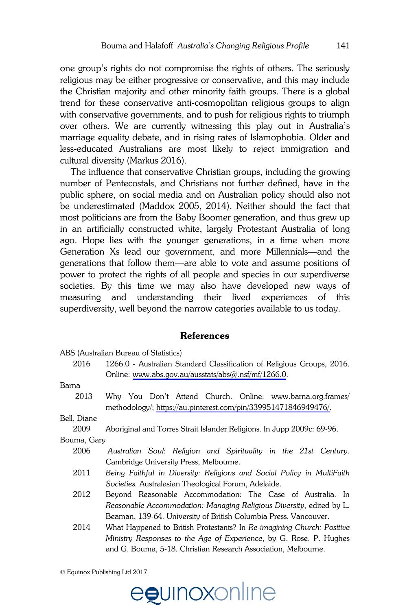one group's rights do not compromise the rights of others. The seriously religious may be either progressive or conservative, and this may include the Christian majority and other minority faith groups. There is a global trend for these conservative anti-cosmopolitan religious groups to align *Sociolinguistic Studies*  with conservative governments, and to push for religious rights to triumph with conservative governments, and to push for religious rights to triumph<br>over others. We are currently witnessing this play out in Australia's marriage equality debate, and in rising rates of Islamophobia. Older and less-educated Australians are most likely to reject immigration and cultural diversity (Markus 2016).

The influence that conservative Christian groups, including the growing number of Pentecostals, and Christians not further defined, have in the public sphere, on social media and on Australian policy should also not be underestimated (Maddox 2005, 2014). Neither should the fact that most politicians are from the Baby Boomer generation, and thus grew up in an artificially constructed white, largely Protestant Australia of long ago. Hope lies with the younger generations, in a time when more Generation Xs lead our government, and more Millennials—and the generations that follow them—are able to vote and assume positions of generations that renow them are done to vote and docame positions or power to protect the rights of all people and species in our superdiverse societies. By this time we may also have developed new ways of measuring and understanding their lived experiences of this superdiversity, well beyond the narrow categories available to us today. able spiele, on social field and on Hashailan policy should diso in and to protect the rights of all people and species in our superdiver

#### **References**  asked to submit no more than one article for review in a two-year period.

|             | ABS (Australian Bureau of Statistics)                                                                                         |
|-------------|-------------------------------------------------------------------------------------------------------------------------------|
| 2016        | 1266.0 - Australian Standard Classification of Religious Groups, 2016.                                                        |
|             |                                                                                                                               |
|             | Online: www.abs.gov.au/ausstats/abs $@.nsf/mf/1266.0$ .                                                                       |
| Barna       |                                                                                                                               |
| 2013        | Why You Don't Attend Church. Online: www.barna.org.frames/<br>methodology/; https://au.pinterest.com/pin/339951471846949476/. |
| Bell, Diane |                                                                                                                               |
| 2009        | Aboriginal and Torres Strait Islander Religions. In Jupp 2009c: 69-96.                                                        |
| Bouma, Gary |                                                                                                                               |
| 2006        | Australian Soul: Religion and Spirituality in the 21st Century.                                                               |
|             | Cambridge University Press, Melbourne.                                                                                        |
| 2011        | Being Faithful in Diversity: Religions and Social Policy in MultiFaith                                                        |
|             | Societies. Australasian Theological Forum, Adelaide.                                                                          |
| 2012        | Beyond Reasonable Accommodation: The Case of Australia. In                                                                    |
|             | Reasonable Accommodation: Managing Religious Diversity, edited by L.                                                          |
|             | Beaman, 139-64. University of British Columbia Press, Vancouver.                                                              |
| 2014        | What Happened to British Protestants? In Re-imagining Church: Positive                                                        |
|             | Ministry Responses to the Age of Experience, by G. Rose, P. Hughes                                                            |
|             | and G. Bouma, 5-18. Christian Research Association, Melbourne.                                                                |

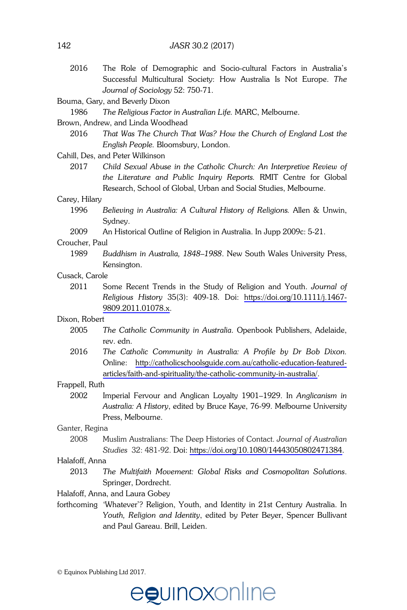2016 The Role of Demographic and Socio-cultural Factors in Australia's Successful Multicultural Society: How Australia Is Not Europe. *The Journal of Sociology* 52: 750-71.

#### Bouma, Gary, and Beverly Dixon

 1986 *The Religious Factor in Australian Life.* MARC, Melbourne. *Sociolinguistic Studies*  **Guidelines** for submission **for submission** 

### Brown, Andrew, and Linda Woodhead

 2016 *That Was The Church That Was? How the Church of England Lost the English People.* Bloomsbury, London. *of <i>Sociolinguistic Studiessics, Studies*. Submitted articles are substituted articles and Peter Wilkinson

<sup>Carm</sup>, *Des, and Feter whikinson*<br>2017 • Child Sexual Abuse in the Catholic Church: An Interpretive Review of *the Literature and Public Inquiry Reports.* RMIT Centre for Global **Initial submissions**  Research, School of Global, Urban and Social Studies, Melbourne.

#### $C$ arey, Hilary website at will need to registe at will need to register with the register with the register with the register with the register with the register with the register with the register with the register with

- 1996 Believing in Australia: A Cultural History of Religions. Allen & Unwin, Sydney.  $S$ udhe  $u$ .
- 2009 An Historical Outline of Religion in Australia. In Jupp 2009c: 5-21.

#### Croucher, Paul  $\sum_{n=1}^{\infty}$  are not also accept articles in Spanish, Galician, Galician, Galician, Galician, Galician, Galician, Galician, Galician, Galician, Galician, Galician, Galician, Galician, Galician, Galician, Galician, Galic

1989 Buddhism in Australia, 1848–1988. New South Wales University Press, Kensington. references. But are included that include the total word in the total word count.  $\frac{1}{2}$  submissions, where  $\frac{1}{2}$  is revising to revised versions, and are versions, and are versions, and are versions, and are versions, and are versions, and are versions, and are versions, and are versions, and a

#### Cusack, Carole  $s$ and reviewing. Authorstian reviewing. Authorstian reviewing. Authorstian affiliations and institutions affiliations affiliations affiliations are very set of  $\mathbb{R}^n$ .

2011 Some Recent Trends in the Study of Religion and Youth. *Journal of Religious History 35(3): 409-18. Doi: [https://doi.org/10.1111/j.1467-](https://doi.org/10.1111/j.1467-9809.2011.01078.x)*  $9809.2011.01078.x.$  $9809.2011.01078.x.$ 

## publishing a relation of the stated article elsewhere, the stated article elsewhere, the stated article elsewhere, the stated article elsewhere, the stated article elsewhere, the stated article elsewhere, and the stated ar

- 2005 The Catholic Community in Australia. Openbook Publishers, Adelaide, rev. edn.
- 2016 The Catholic Community in Australia: A Profile by Dr Bob Dixon. Online: [http://catholicschoolsguide.com.au/catholic-education-featured](http://catholicschoolsguide.com.au/catholic-education-featured-articles/faith-and-spirituality/the-catholic-community-in-australia/)oninc. The process is consequenced by the catholic stations catedral reduction  $\frac{1}{2}$  and  $\frac{1}{2}$ . ances/iami-and-spimually/me-camolic-community-in-australia/.

#### Frappell, Ruth  $a$ ppen, revinsions asked for publications as format ready for publication.

2002 Imperial Fervour and Anglican Loyalty 1901–1929. In *Anglicanism in* Australia: A History, edited by Bruce Kaye, 76-99. Melbourne University Press, Melbourne. **For contributors any figures** available on the journal includes any figures and figures and figures and figures or  $\mathbb{R}^n$ 

#### $\mathsf{Ganter}\xspace$ ,  $\mathsf{Regina}\xspace$

 2008 Muslim Australians: The Deep Histories of Contact. *Journal of Australian Studies* 32: 481-92. Doi: [https://doi.org/10.1080/14443050802471384.](https://doi.org/10.1080/14443050802471384) 2008

## Halafoff, Anna **Permissions and copyright**

- resessen, runse<br>2013 – The Multifaith Movement: Global Risks and Cosmopolitan Solutions. Springer, Dordrecht. and the manguin moderness. Soour mote and cosmoponium column figures, tables, poetry etc., please contact the authors and publishers before submitting
- Halafoff, Anna, and Laura Gobey  $\,$
- forthcoming 'Whatever'? Religion, Youth, and Identity in 21st Century Australia. In Youth, Religion and Identity, edited by Peter Beyer, Spencer Bullivant and Paul Gareau. Brill, Leiden.

<sup>©</sup> Equinox Publishing Ltd 2017.